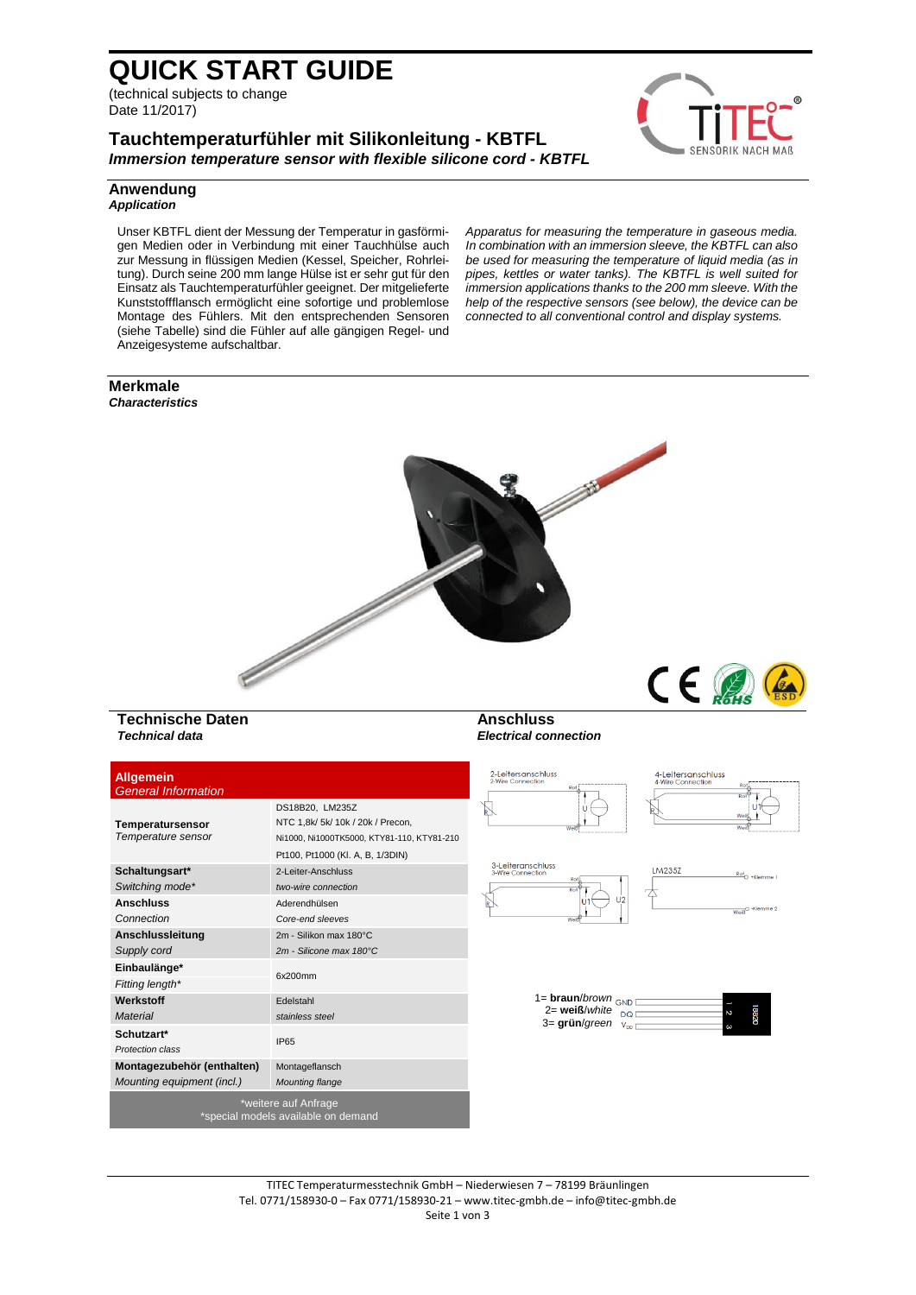# **QUICK START GUIDE**

(technical subjects to change Date 11/2017)

# **Tauchtemperaturfühler mit Silikonleitung - KBTFL** *Immersion temperature sensor with flexible silicone cord - KBTFL*



*Apparatus for measuring the temperature in gaseous media. In combination with an immersion sleeve, the KBTFL can also be used for measuring the temperature of liquid media (as in pipes, kettles or water tanks). The KBTFL is well suited for immersion applications thanks to the 200 mm sleeve. With the help of the respective sensors (see below), the device can be connected to all conventional control and display systems.*

### **Anwendung** *Application*

Unser KBTFL dient der Messung der Temperatur in gasförmigen Medien oder in Verbindung mit einer Tauchhülse auch zur Messung in flüssigen Medien (Kessel, Speicher, Rohrleitung). Durch seine 200 mm lange Hülse ist er sehr gut für den Einsatz als Tauchtemperaturfühler geeignet. Der mitgelieferte Kunststoffflansch ermöglicht eine sofortige und problemlose Montage des Fühlers. Mit den entsprechenden Sensoren (siehe Tabelle) sind die Fühler auf alle gängigen Regel- und Anzeigesysteme aufschaltbar.

**Merkmale** *Characteristics*



**Anschluss** *Electrical connection*

### **Technische Daten** *Technical data*

| <b>Allgemein</b><br><b>General Information</b>           |                                                                                                                                        | 2-Leitersanschluss<br>2-Wire Connection<br>Rot                                                         | 4-Leitersanschluss<br>4-Wire Connection<br>Rot.<br>Rot <sup>5</sup> |
|----------------------------------------------------------|----------------------------------------------------------------------------------------------------------------------------------------|--------------------------------------------------------------------------------------------------------|---------------------------------------------------------------------|
| Temperatursensor<br>Temperature sensor                   | DS18B20, LM235Z<br>NTC 1,8k/ 5k/ 10k / 20k / Precon,<br>Ni1000, Ni1000TK5000, KTY81-110, KTY81-210<br>Pt100, Pt1000 (KI. A, B, 1/3DIN) | R<br>Weit                                                                                              | Weil<br>We                                                          |
| Schaltungsart*<br>Switching mode*                        | 2-Leiter-Anschluss<br>two-wire connection                                                                                              | 3-Leiteranschluss<br>3-Wire Connection<br>Rot.<br>Rot                                                  | LM235Z<br>Roto +Klemme                                              |
| <b>Anschluss</b><br>Connection                           | Aderendhülsen<br>Core-end sleeves                                                                                                      | U <sub>2</sub><br>Wel                                                                                  | Weiß <sup>O</sup> -Klemme 2                                         |
| Anschlussleitung<br>Supply cord                          | 2m - Silikon max 180°C<br>2m - Silicone max 180°C                                                                                      |                                                                                                        |                                                                     |
| Einbaulänge*<br>Fitting length*                          | 6x200mm                                                                                                                                |                                                                                                        |                                                                     |
| Werkstoff<br><b>Material</b>                             | Edelstahl<br>stainless steel                                                                                                           | $1 = \text{braun/brown}$ GND<br>$2 = \text{weight}$ white $_{\text{DQ}}$<br>3= grün/green $v_{\infty}$ | 18820<br>г                                                          |
| Schutzart*<br>Protection class                           | <b>IP65</b>                                                                                                                            |                                                                                                        | S                                                                   |
| Montagezubehör (enthalten)<br>Mounting equipment (incl.) | Montageflansch<br><b>Mounting flange</b>                                                                                               |                                                                                                        |                                                                     |
|                                                          | *weitere auf Anfrage<br>*special models available on demand                                                                            |                                                                                                        |                                                                     |

#### TITEC Temperaturmesstechnik GmbH – Niederwiesen 7 – 78199 Bräunlingen Tel. 0771/158930-0 – Fax 0771/158930-21 – [www.titec-gmbh.de](http://www.titec-gmbh.de/) – [info@titec-gmbh.de](mailto:info@titec-gmbh.de) Seite 1 von 3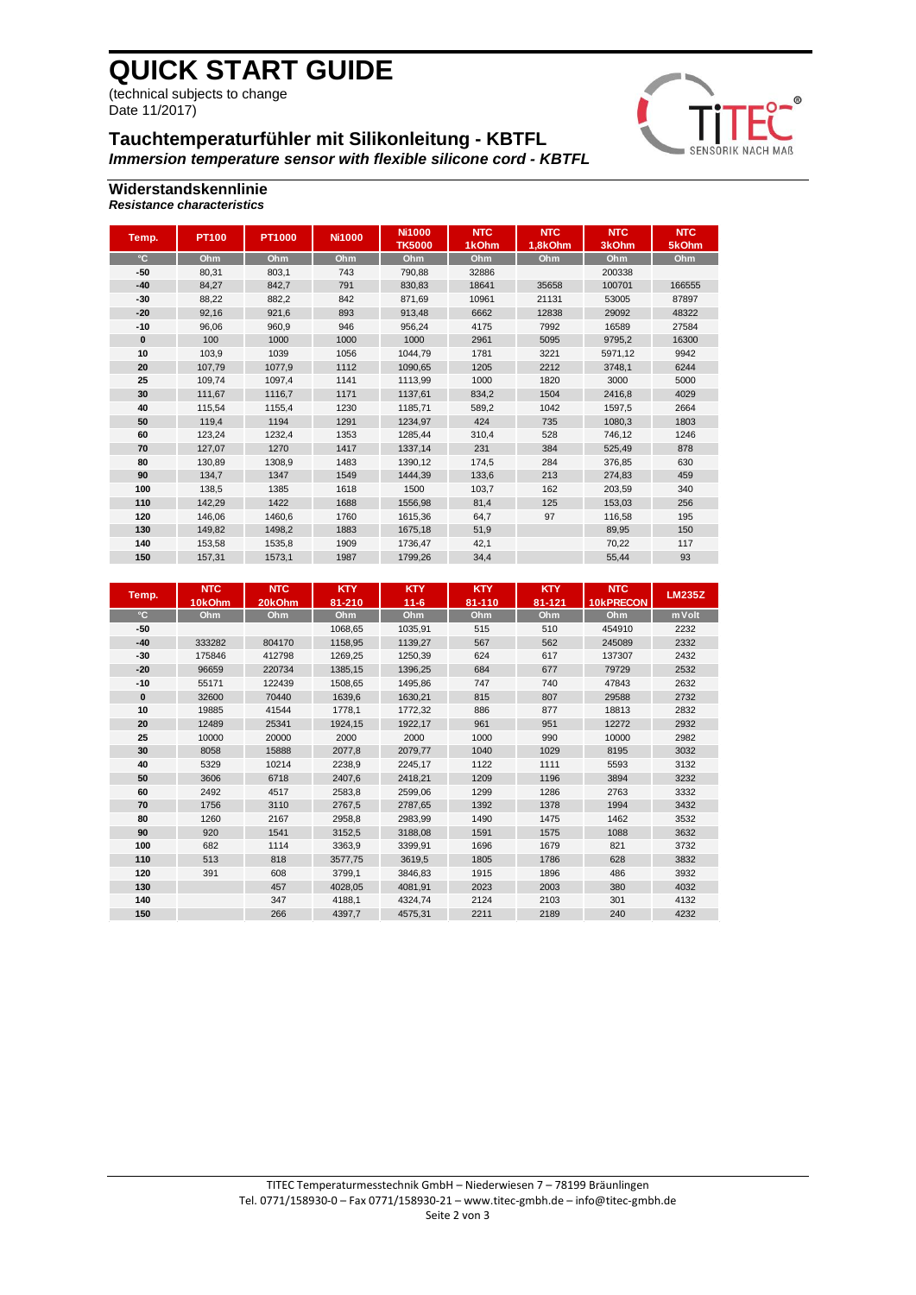# **QUICK START GUIDE**

(technical subjects to change Date 11/2017)

# **Tauchtemperaturfühler mit Silikonleitung - KBTFL**

*Immersion temperature sensor with flexible silicone cord - KBTFL*



### **Widerstandskennlinie** *Resistance characteristics*

| Temp.    | <b>PT100</b> | <b>PT1000</b> | <b>Ni1000</b> | <b>Ni1000</b><br><b>TK5000</b> | <b>NTC</b><br>1kOhm | <b>NTC</b><br>1.8kOhm | <b>NTC</b><br>3kOhm | <b>NTC</b><br>5kOhm |
|----------|--------------|---------------|---------------|--------------------------------|---------------------|-----------------------|---------------------|---------------------|
| °C       | Ohm          | Ohm           | Ohm           | Ohm                            | Ohm                 | Ohm                   | Ohm                 | Ohm                 |
| $-50$    | 80,31        | 803,1         | 743           | 790,88                         | 32886               |                       | 200338              |                     |
| $-40$    | 84,27        | 842,7         | 791           | 830.83                         | 18641               | 35658                 | 100701              | 166555              |
| -30      | 88,22        | 882,2         | 842           | 871,69                         | 10961               | 21131                 | 53005               | 87897               |
| $-20$    | 92.16        | 921.6         | 893           | 913.48                         | 6662                | 12838                 | 29092               | 48322               |
| $-10$    | 96,06        | 960.9         | 946           | 956,24                         | 4175                | 7992                  | 16589               | 27584               |
| $\bf{0}$ | 100          | 1000          | 1000          | 1000                           | 2961                | 5095                  | 9795.2              | 16300               |
| 10       | 103.9        | 1039          | 1056          | 1044,79                        | 1781                | 3221                  | 5971,12             | 9942                |
| 20       | 107,79       | 1077.9        | 1112          | 1090.65                        | 1205                | 2212                  | 3748.1              | 6244                |
| 25       | 109,74       | 1097.4        | 1141          | 1113,99                        | 1000                | 1820                  | 3000                | 5000                |
| 30       | 111.67       | 1116,7        | 1171          | 1137.61                        | 834.2               | 1504                  | 2416.8              | 4029                |
| 40       | 115.54       | 1155.4        | 1230          | 1185.71                        | 589,2               | 1042                  | 1597.5              | 2664                |
| 50       | 119.4        | 1194          | 1291          | 1234.97                        | 424                 | 735                   | 1080.3              | 1803                |
| 60       | 123,24       | 1232,4        | 1353          | 1285,44                        | 310,4               | 528                   | 746,12              | 1246                |
| 70       | 127,07       | 1270          | 1417          | 1337,14                        | 231                 | 384                   | 525,49              | 878                 |
| 80       | 130,89       | 1308,9        | 1483          | 1390,12                        | 174,5               | 284                   | 376,85              | 630                 |
| 90       | 134.7        | 1347          | 1549          | 1444.39                        | 133.6               | 213                   | 274.83              | 459                 |
| 100      | 138.5        | 1385          | 1618          | 1500                           | 103.7               | 162                   | 203,59              | 340                 |
| 110      | 142.29       | 1422          | 1688          | 1556,98                        | 81.4                | 125                   | 153,03              | 256                 |
| 120      | 146,06       | 1460.6        | 1760          | 1615.36                        | 64,7                | 97                    | 116,58              | 195                 |
| 130      | 149,82       | 1498.2        | 1883          | 1675,18                        | 51,9                |                       | 89,95               | 150                 |
| 140      | 153,58       | 1535,8        | 1909          | 1736,47                        | 42,1                |                       | 70,22               | 117                 |
| 150      | 157,31       | 1573,1        | 1987          | 1799,26                        | 34,4                |                       | 55,44               | 93                  |

| Temp. | <b>NTC</b><br>10kOhm | <b>NTC</b><br>20kOhm | <b>KTY</b><br>81-210 | <b>KTY</b><br>$11 - 6$ | <b>KTY</b><br>81-110 | <b>KTY</b><br>81-121 | <b>NTC</b><br><b>10kPRECON</b> | <b>LM235Z</b> |
|-------|----------------------|----------------------|----------------------|------------------------|----------------------|----------------------|--------------------------------|---------------|
| °C    | Ohm                  | Ohm                  | Ohm                  | Ohm                    | Ohm                  | Ohm                  | Ohm                            | m V olt       |
| $-50$ |                      |                      | 1068.65              | 1035.91                | 515                  | 510                  | 454910                         | 2232          |
| $-40$ | 333282               | 804170               | 1158,95              | 1139,27                | 567                  | 562                  | 245089                         | 2332          |
| $-30$ | 175846               | 412798               | 1269.25              | 1250.39                | 624                  | 617                  | 137307                         | 2432          |
| $-20$ | 96659                | 220734               | 1385,15              | 1396,25                | 684                  | 677                  | 79729                          | 2532          |
| $-10$ | 55171                | 122439               | 1508,65              | 1495,86                | 747                  | 740                  | 47843                          | 2632          |
| 0     | 32600                | 70440                | 1639,6               | 1630,21                | 815                  | 807                  | 29588                          | 2732          |
| 10    | 19885                | 41544                | 1778,1               | 1772,32                | 886                  | 877                  | 18813                          | 2832          |
| 20    | 12489                | 25341                | 1924.15              | 1922.17                | 961                  | 951                  | 12272                          | 2932          |
| 25    | 10000                | 20000                | 2000                 | 2000                   | 1000                 | 990                  | 10000                          | 2982          |
| 30    | 8058                 | 15888                | 2077.8               | 2079.77                | 1040                 | 1029                 | 8195                           | 3032          |
| 40    | 5329                 | 10214                | 2238,9               | 2245,17                | 1122                 | 1111                 | 5593                           | 3132          |
| 50    | 3606                 | 6718                 | 2407,6               | 2418,21                | 1209                 | 1196                 | 3894                           | 3232          |
| 60    | 2492                 | 4517                 | 2583,8               | 2599,06                | 1299                 | 1286                 | 2763                           | 3332          |
| 70    | 1756                 | 3110                 | 2767,5               | 2787,65                | 1392                 | 1378                 | 1994                           | 3432          |
| 80    | 1260                 | 2167                 | 2958,8               | 2983,99                | 1490                 | 1475                 | 1462                           | 3532          |
| 90    | 920                  | 1541                 | 3152.5               | 3188.08                | 1591                 | 1575                 | 1088                           | 3632          |
| 100   | 682                  | 1114                 | 3363.9               | 3399.91                | 1696                 | 1679                 | 821                            | 3732          |
| 110   | 513                  | 818                  | 3577,75              | 3619,5                 | 1805                 | 1786                 | 628                            | 3832          |
| 120   | 391                  | 608                  | 3799,1               | 3846,83                | 1915                 | 1896                 | 486                            | 3932          |
| 130   |                      | 457                  | 4028,05              | 4081,91                | 2023                 | 2003                 | 380                            | 4032          |
| 140   |                      | 347                  | 4188,1               | 4324,74                | 2124                 | 2103                 | 301                            | 4132          |
| 150   |                      | 266                  | 4397,7               | 4575,31                | 2211                 | 2189                 | 240                            | 4232          |